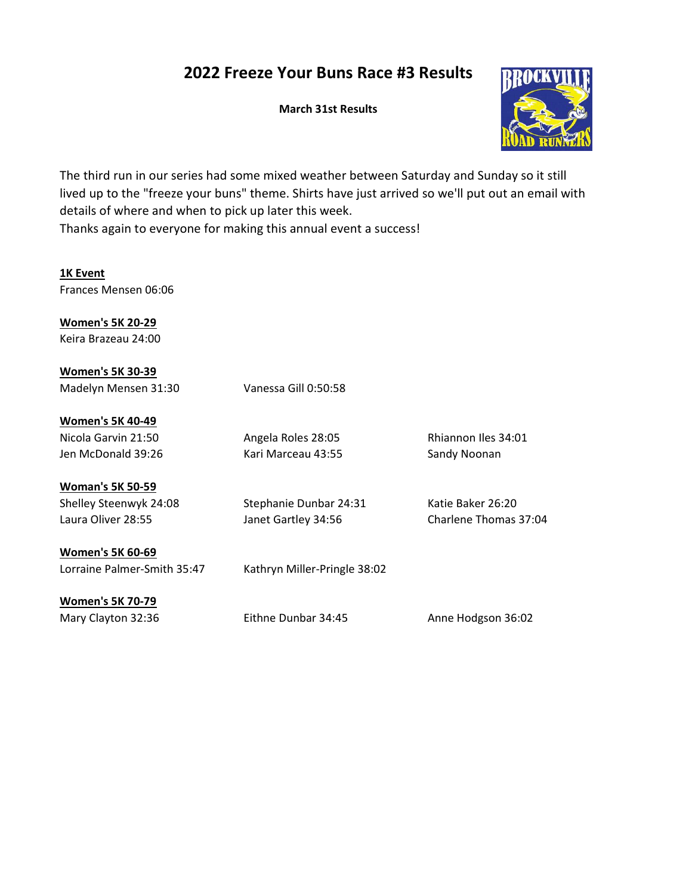## 2022 Freeze Your Buns Race #3 Results

March 31st Results



The third run in our series had some mixed weather between Saturday and Sunday so it still lived up to the "freeze your buns" theme. Shirts have just arrived so we'll put out an email with details of where and when to pick up later this week. Thanks again to everyone for making this annual event a success!

1K Event Frances Mensen 06:06

Women's 5K 20-29 Keira Brazeau 24:00

Women's 5K 30-39 Madelyn Mensen 31:30 Vanessa Gill 0:50:58 Women's 5K 40-49 Nicola Garvin 21:50 Angela Roles 28:05 Rhiannon Iles 34:01 Jen McDonald 39:26 Kari Marceau 43:55 Sandy Noonan Woman's 5K 50-59 Shelley Steenwyk 24:08 Stephanie Dunbar 24:31 Katie Baker 26:20 Laura Oliver 28:55 **Janet Gartley 34:56** Charlene Thomas 37:04 Women's 5K 60-69 Lorraine Palmer-Smith 35:47 Kathryn Miller-Pringle 38:02 Women's 5K 70-79 Mary Clayton 32:36 Eithne Dunbar 34:45 Anne Hodgson 36:02